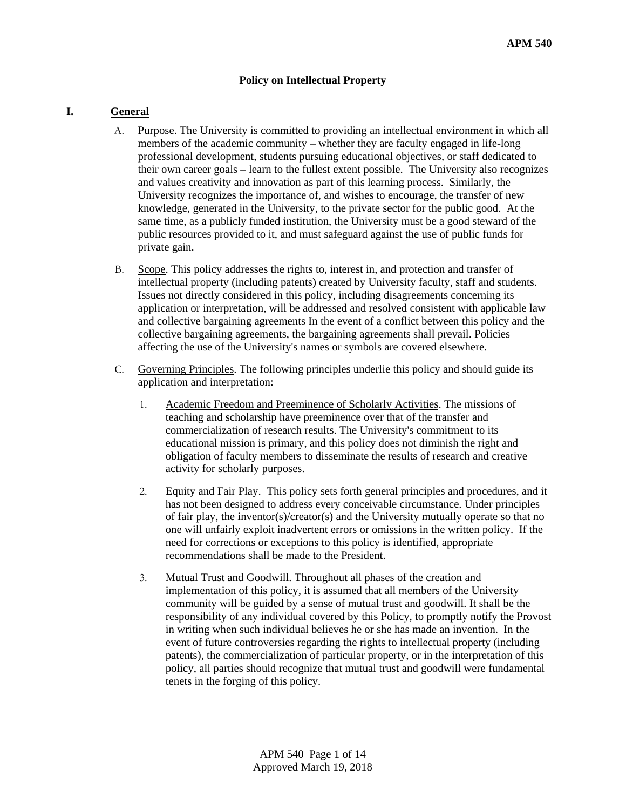#### **Policy on Intellectual Property**

#### **I. General**

- A. Purpose. The University is committed to providing an intellectual environment in which all members of the academic community – whether they are faculty engaged in life-long professional development, students pursuing educational objectives, or staff dedicated to their own career goals – learn to the fullest extent possible. The University also recognizes and values creativity and innovation as part of this learning process. Similarly, the University recognizes the importance of, and wishes to encourage, the transfer of new knowledge, generated in the University, to the private sector for the public good. At the same time, as a publicly funded institution, the University must be a good steward of the public resources provided to it, and must safeguard against the use of public funds for private gain.
- B. Scope. This policy addresses the rights to, interest in, and protection and transfer of intellectual property (including patents) created by University faculty, staff and students. Issues not directly considered in this policy, including disagreements concerning its application or interpretation, will be addressed and resolved consistent with applicable law and collective bargaining agreements In the event of a conflict between this policy and the collective bargaining agreements, the bargaining agreements shall prevail. Policies affecting the use of the University's names or symbols are covered elsewhere.
- C. Governing Principles. The following principles underlie this policy and should guide its application and interpretation:
	- 1. Academic Freedom and Preeminence of Scholarly Activities. The missions of teaching and scholarship have preeminence over that of the transfer and commercialization of research results. The University's commitment to its educational mission is primary, and this policy does not diminish the right and obligation of faculty members to disseminate the results of research and creative activity for scholarly purposes.
	- 2. Equity and Fair Play. This policy sets forth general principles and procedures, and it has not been designed to address every conceivable circumstance. Under principles of fair play, the inventor(s)/creator(s) and the University mutually operate so that no one will unfairly exploit inadvertent errors or omissions in the written policy. If the need for corrections or exceptions to this policy is identified, appropriate recommendations shall be made to the President.
	- 3. Mutual Trust and Goodwill. Throughout all phases of the creation and implementation of this policy, it is assumed that all members of the University community will be guided by a sense of mutual trust and goodwill. It shall be the responsibility of any individual covered by this Policy, to promptly notify the Provost in writing when such individual believes he or she has made an invention. In the event of future controversies regarding the rights to intellectual property (including patents), the commercialization of particular property, or in the interpretation of this policy, all parties should recognize that mutual trust and goodwill were fundamental tenets in the forging of this policy.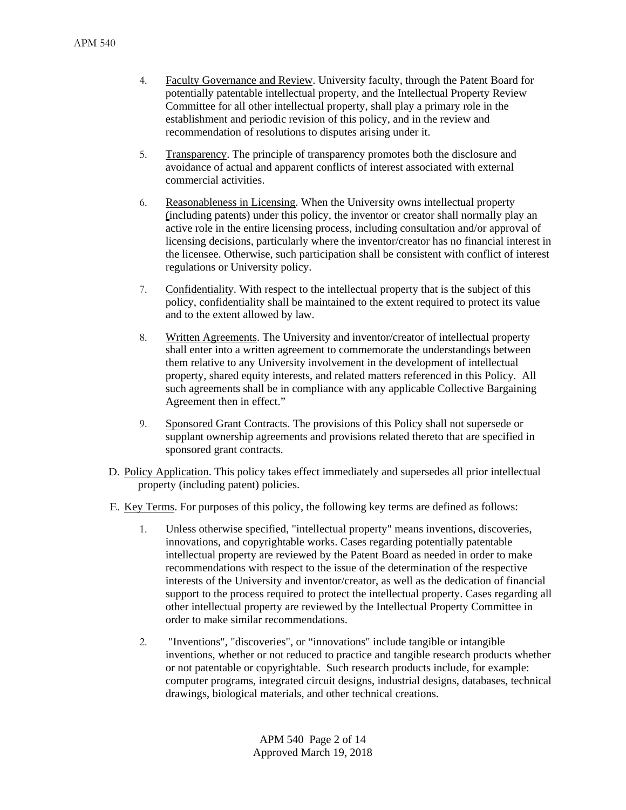- 4. Faculty Governance and Review. University faculty, through the Patent Board for potentially patentable intellectual property, and the Intellectual Property Review Committee for all other intellectual property, shall play a primary role in the establishment and periodic revision of this policy, and in the review and recommendation of resolutions to disputes arising under it.
- 5. Transparency. The principle of transparency promotes both the disclosure and avoidance of actual and apparent conflicts of interest associated with external commercial activities.
- 6. Reasonableness in Licensing. When the University owns intellectual property (including patents) under this policy, the inventor or creator shall normally play an active role in the entire licensing process, including consultation and/or approval of licensing decisions, particularly where the inventor/creator has no financial interest in the licensee. Otherwise, such participation shall be consistent with conflict of interest regulations or University policy.
- 7. Confidentiality. With respect to the intellectual property that is the subject of this policy, confidentiality shall be maintained to the extent required to protect its value and to the extent allowed by law.
- 8. Written Agreements. The University and inventor/creator of intellectual property shall enter into a written agreement to commemorate the understandings between them relative to any University involvement in the development of intellectual property, shared equity interests, and related matters referenced in this Policy. All such agreements shall be in compliance with any applicable Collective Bargaining Agreement then in effect."
- 9. Sponsored Grant Contracts. The provisions of this Policy shall not supersede or supplant ownership agreements and provisions related thereto that are specified in sponsored grant contracts.
- D. Policy Application. This policy takes effect immediately and supersedes all prior intellectual property (including patent) policies.
- E. Key Terms. For purposes of this policy, the following key terms are defined as follows:
	- 1. Unless otherwise specified, "intellectual property" means inventions, discoveries, innovations, and copyrightable works. Cases regarding potentially patentable intellectual property are reviewed by the Patent Board as needed in order to make recommendations with respect to the issue of the determination of the respective interests of the University and inventor/creator, as well as the dedication of financial support to the process required to protect the intellectual property. Cases regarding all other intellectual property are reviewed by the Intellectual Property Committee in order to make similar recommendations.
	- 2. "Inventions", "discoveries", or "innovations" include tangible or intangible inventions, whether or not reduced to practice and tangible research products whether or not patentable or copyrightable. Such research products include, for example: computer programs, integrated circuit designs, industrial designs, databases, technical drawings, biological materials, and other technical creations.

APM 540 Page 2 of 14 Approved March 19, 2018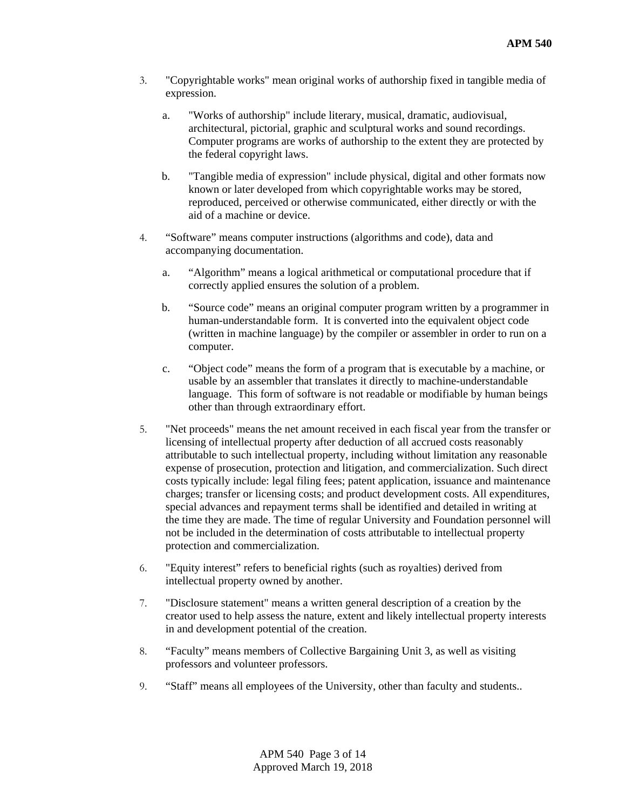- 3. "Copyrightable works" mean original works of authorship fixed in tangible media of expression.
	- a. "Works of authorship" include literary, musical, dramatic, audiovisual, architectural, pictorial, graphic and sculptural works and sound recordings. Computer programs are works of authorship to the extent they are protected by the federal copyright laws.
	- b. "Tangible media of expression" include physical, digital and other formats now known or later developed from which copyrightable works may be stored, reproduced, perceived or otherwise communicated, either directly or with the aid of a machine or device.
- 4. "Software" means computer instructions (algorithms and code), data and accompanying documentation.
	- a. "Algorithm" means a logical arithmetical or computational procedure that if correctly applied ensures the solution of a problem.
	- b. "Source code" means an original computer program written by a programmer in human-understandable form. It is converted into the equivalent object code (written in machine language) by the compiler or assembler in order to run on a computer.
	- c. "Object code" means the form of a program that is executable by a machine, or usable by an assembler that translates it directly to machine-understandable language. This form of software is not readable or modifiable by human beings other than through extraordinary effort.
- 5. "Net proceeds" means the net amount received in each fiscal year from the transfer or licensing of intellectual property after deduction of all accrued costs reasonably attributable to such intellectual property, including without limitation any reasonable expense of prosecution, protection and litigation, and commercialization. Such direct costs typically include: legal filing fees; patent application, issuance and maintenance charges; transfer or licensing costs; and product development costs. All expenditures, special advances and repayment terms shall be identified and detailed in writing at the time they are made. The time of regular University and Foundation personnel will not be included in the determination of costs attributable to intellectual property protection and commercialization.
- 6. "Equity interest" refers to beneficial rights (such as royalties) derived from intellectual property owned by another.
- 7. "Disclosure statement" means a written general description of a creation by the creator used to help assess the nature, extent and likely intellectual property interests in and development potential of the creation.
- 8. "Faculty" means members of Collective Bargaining Unit 3, as well as visiting professors and volunteer professors.
- 9. "Staff" means all employees of the University, other than faculty and students..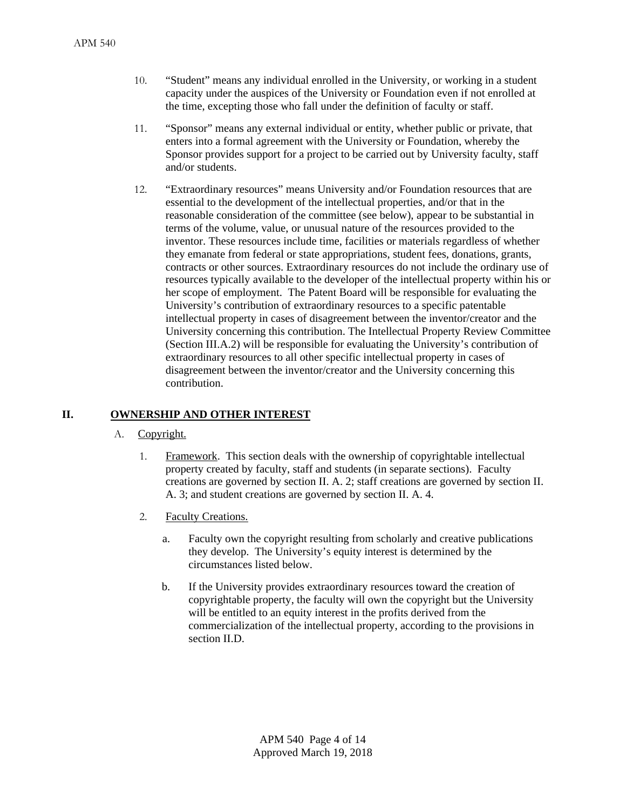- 10. "Student" means any individual enrolled in the University, or working in a student capacity under the auspices of the University or Foundation even if not enrolled at the time, excepting those who fall under the definition of faculty or staff.
- 11. "Sponsor" means any external individual or entity, whether public or private, that enters into a formal agreement with the University or Foundation, whereby the Sponsor provides support for a project to be carried out by University faculty, staff and/or students.
- 12. "Extraordinary resources" means University and/or Foundation resources that are essential to the development of the intellectual properties, and/or that in the reasonable consideration of the committee (see below), appear to be substantial in terms of the volume, value, or unusual nature of the resources provided to the inventor. These resources include time, facilities or materials regardless of whether they emanate from federal or state appropriations, student fees, donations, grants, contracts or other sources. Extraordinary resources do not include the ordinary use of resources typically available to the developer of the intellectual property within his or her scope of employment. The Patent Board will be responsible for evaluating the University's contribution of extraordinary resources to a specific patentable intellectual property in cases of disagreement between the inventor/creator and the University concerning this contribution. The Intellectual Property Review Committee (Section III.A.2) will be responsible for evaluating the University's contribution of extraordinary resources to all other specific intellectual property in cases of disagreement between the inventor/creator and the University concerning this contribution.

#### **II. OWNERSHIP AND OTHER INTEREST**

- A. Copyright.
	- 1. Framework. This section deals with the ownership of copyrightable intellectual property created by faculty, staff and students (in separate sections). Faculty creations are governed by section II. A. 2; staff creations are governed by section II. A. 3; and student creations are governed by section II. A. 4.
	- 2. Faculty Creations.
		- a. Faculty own the copyright resulting from scholarly and creative publications they develop. The University's equity interest is determined by the circumstances listed below.
		- b. If the University provides extraordinary resources toward the creation of copyrightable property, the faculty will own the copyright but the University will be entitled to an equity interest in the profits derived from the commercialization of the intellectual property, according to the provisions in section II.D.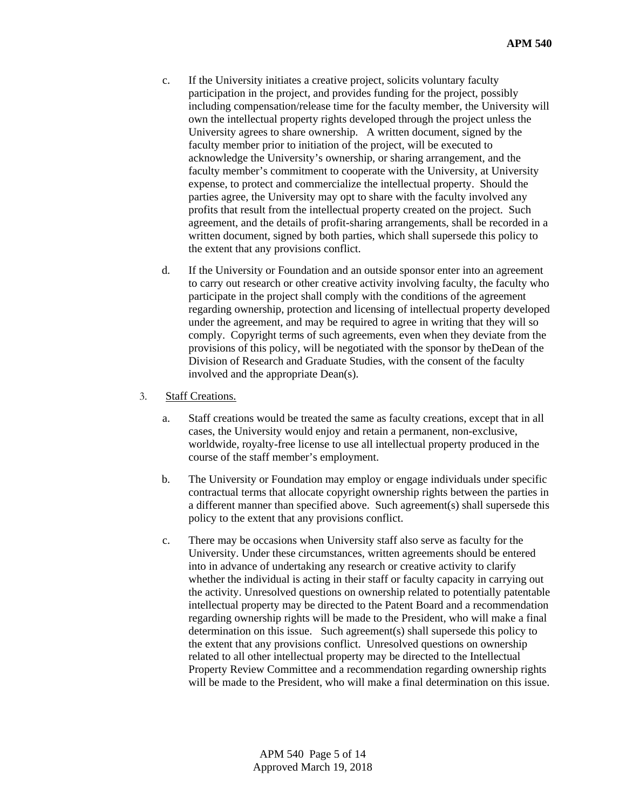- c. If the University initiates a creative project, solicits voluntary faculty participation in the project, and provides funding for the project, possibly including compensation/release time for the faculty member, the University will own the intellectual property rights developed through the project unless the University agrees to share ownership. A written document, signed by the faculty member prior to initiation of the project, will be executed to acknowledge the University's ownership, or sharing arrangement, and the faculty member's commitment to cooperate with the University, at University expense, to protect and commercialize the intellectual property. Should the parties agree, the University may opt to share with the faculty involved any profits that result from the intellectual property created on the project. Such agreement, and the details of profit-sharing arrangements, shall be recorded in a written document, signed by both parties, which shall supersede this policy to the extent that any provisions conflict.
- d. If the University or Foundation and an outside sponsor enter into an agreement to carry out research or other creative activity involving faculty, the faculty who participate in the project shall comply with the conditions of the agreement regarding ownership, protection and licensing of intellectual property developed under the agreement, and may be required to agree in writing that they will so comply. Copyright terms of such agreements, even when they deviate from the provisions of this policy, will be negotiated with the sponsor by theDean of the Division of Research and Graduate Studies, with the consent of the faculty involved and the appropriate Dean(s).

#### 3. Staff Creations.

- a. Staff creations would be treated the same as faculty creations, except that in all cases, the University would enjoy and retain a permanent, non-exclusive, worldwide, royalty-free license to use all intellectual property produced in the course of the staff member's employment.
- b. The University or Foundation may employ or engage individuals under specific contractual terms that allocate copyright ownership rights between the parties in a different manner than specified above. Such agreement(s) shall supersede this policy to the extent that any provisions conflict.
- c. There may be occasions when University staff also serve as faculty for the University. Under these circumstances, written agreements should be entered into in advance of undertaking any research or creative activity to clarify whether the individual is acting in their staff or faculty capacity in carrying out the activity. Unresolved questions on ownership related to potentially patentable intellectual property may be directed to the Patent Board and a recommendation regarding ownership rights will be made to the President, who will make a final determination on this issue. Such agreement(s) shall supersede this policy to the extent that any provisions conflict. Unresolved questions on ownership related to all other intellectual property may be directed to the Intellectual Property Review Committee and a recommendation regarding ownership rights will be made to the President, who will make a final determination on this issue.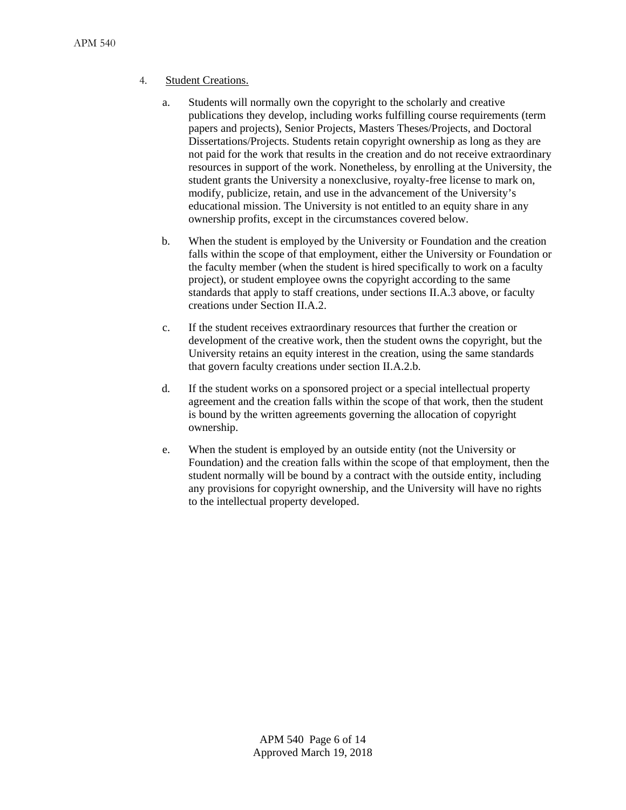### 4. Student Creations.

- a. Students will normally own the copyright to the scholarly and creative publications they develop, including works fulfilling course requirements (term papers and projects), Senior Projects, Masters Theses/Projects, and Doctoral Dissertations/Projects. Students retain copyright ownership as long as they are not paid for the work that results in the creation and do not receive extraordinary resources in support of the work. Nonetheless, by enrolling at the University, the student grants the University a nonexclusive, royalty-free license to mark on, modify, publicize, retain, and use in the advancement of the University's educational mission. The University is not entitled to an equity share in any ownership profits, except in the circumstances covered below.
- b. When the student is employed by the University or Foundation and the creation falls within the scope of that employment, either the University or Foundation or the faculty member (when the student is hired specifically to work on a faculty project), or student employee owns the copyright according to the same standards that apply to staff creations, under sections II.A.3 above, or faculty creations under Section II.A.2.
- c. If the student receives extraordinary resources that further the creation or development of the creative work, then the student owns the copyright, but the University retains an equity interest in the creation, using the same standards that govern faculty creations under section II.A.2.b.
- d. If the student works on a sponsored project or a special intellectual property agreement and the creation falls within the scope of that work, then the student is bound by the written agreements governing the allocation of copyright ownership.
- e. When the student is employed by an outside entity (not the University or Foundation) and the creation falls within the scope of that employment, then the student normally will be bound by a contract with the outside entity, including any provisions for copyright ownership, and the University will have no rights to the intellectual property developed.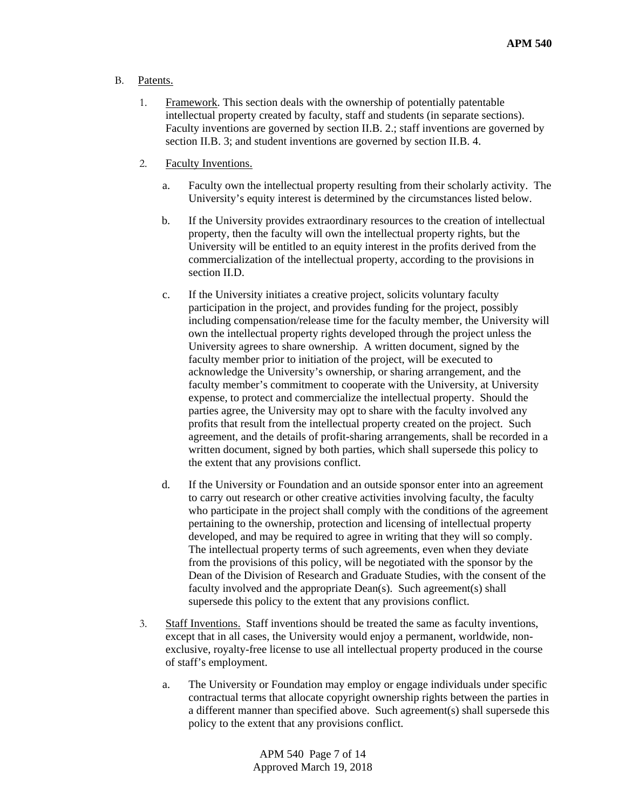- B. Patents.
	- 1. Framework. This section deals with the ownership of potentially patentable intellectual property created by faculty, staff and students (in separate sections). Faculty inventions are governed by section II.B. 2.; staff inventions are governed by section II.B. 3; and student inventions are governed by section II.B. 4.
	- 2. Faculty Inventions.
		- a. Faculty own the intellectual property resulting from their scholarly activity. The University's equity interest is determined by the circumstances listed below.
		- b. If the University provides extraordinary resources to the creation of intellectual property, then the faculty will own the intellectual property rights, but the University will be entitled to an equity interest in the profits derived from the commercialization of the intellectual property, according to the provisions in section II.D.
		- c. If the University initiates a creative project, solicits voluntary faculty participation in the project, and provides funding for the project, possibly including compensation/release time for the faculty member, the University will own the intellectual property rights developed through the project unless the University agrees to share ownership. A written document, signed by the faculty member prior to initiation of the project, will be executed to acknowledge the University's ownership, or sharing arrangement, and the faculty member's commitment to cooperate with the University, at University expense, to protect and commercialize the intellectual property. Should the parties agree, the University may opt to share with the faculty involved any profits that result from the intellectual property created on the project. Such agreement, and the details of profit-sharing arrangements, shall be recorded in a written document, signed by both parties, which shall supersede this policy to the extent that any provisions conflict.
		- d. If the University or Foundation and an outside sponsor enter into an agreement to carry out research or other creative activities involving faculty, the faculty who participate in the project shall comply with the conditions of the agreement pertaining to the ownership, protection and licensing of intellectual property developed, and may be required to agree in writing that they will so comply. The intellectual property terms of such agreements, even when they deviate from the provisions of this policy, will be negotiated with the sponsor by the Dean of the Division of Research and Graduate Studies, with the consent of the faculty involved and the appropriate Dean(s). Such agreement(s) shall supersede this policy to the extent that any provisions conflict.
	- 3. Staff Inventions. Staff inventions should be treated the same as faculty inventions, except that in all cases, the University would enjoy a permanent, worldwide, nonexclusive, royalty-free license to use all intellectual property produced in the course of staff's employment.
		- a. The University or Foundation may employ or engage individuals under specific contractual terms that allocate copyright ownership rights between the parties in a different manner than specified above. Such agreement(s) shall supersede this policy to the extent that any provisions conflict.

APM 540 Page 7 of 14 Approved March 19, 2018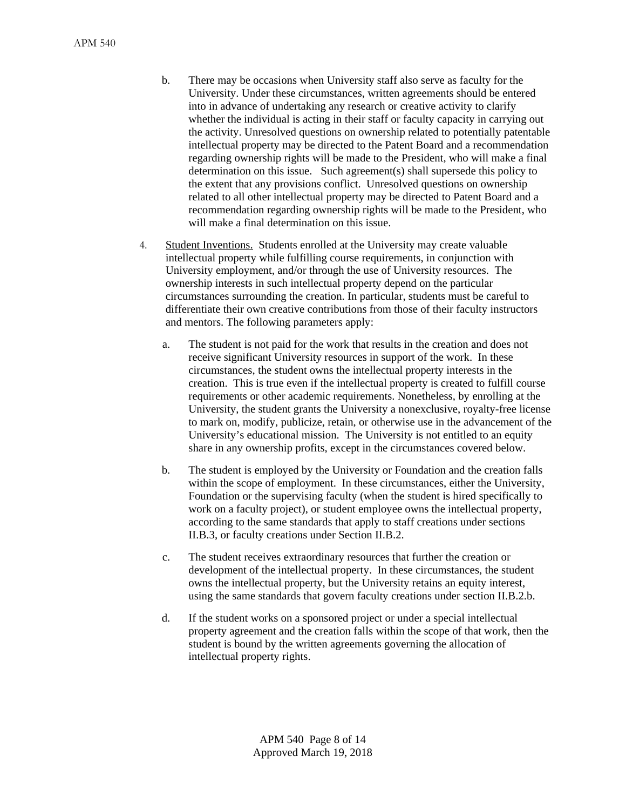- b. There may be occasions when University staff also serve as faculty for the University. Under these circumstances, written agreements should be entered into in advance of undertaking any research or creative activity to clarify whether the individual is acting in their staff or faculty capacity in carrying out the activity. Unresolved questions on ownership related to potentially patentable intellectual property may be directed to the Patent Board and a recommendation regarding ownership rights will be made to the President, who will make a final determination on this issue. Such agreement(s) shall supersede this policy to the extent that any provisions conflict. Unresolved questions on ownership related to all other intellectual property may be directed to Patent Board and a recommendation regarding ownership rights will be made to the President, who will make a final determination on this issue.
- 4. Student Inventions. Students enrolled at the University may create valuable intellectual property while fulfilling course requirements, in conjunction with University employment, and/or through the use of University resources. The ownership interests in such intellectual property depend on the particular circumstances surrounding the creation. In particular, students must be careful to differentiate their own creative contributions from those of their faculty instructors and mentors. The following parameters apply:
	- a. The student is not paid for the work that results in the creation and does not receive significant University resources in support of the work. In these circumstances, the student owns the intellectual property interests in the creation. This is true even if the intellectual property is created to fulfill course requirements or other academic requirements. Nonetheless, by enrolling at the University, the student grants the University a nonexclusive, royalty-free license to mark on, modify, publicize, retain, or otherwise use in the advancement of the University's educational mission. The University is not entitled to an equity share in any ownership profits, except in the circumstances covered below.
	- b. The student is employed by the University or Foundation and the creation falls within the scope of employment. In these circumstances, either the University, Foundation or the supervising faculty (when the student is hired specifically to work on a faculty project), or student employee owns the intellectual property, according to the same standards that apply to staff creations under sections II.B.3, or faculty creations under Section II.B.2.
	- c. The student receives extraordinary resources that further the creation or development of the intellectual property. In these circumstances, the student owns the intellectual property, but the University retains an equity interest, using the same standards that govern faculty creations under section II.B.2.b.
	- d. If the student works on a sponsored project or under a special intellectual property agreement and the creation falls within the scope of that work, then the student is bound by the written agreements governing the allocation of intellectual property rights.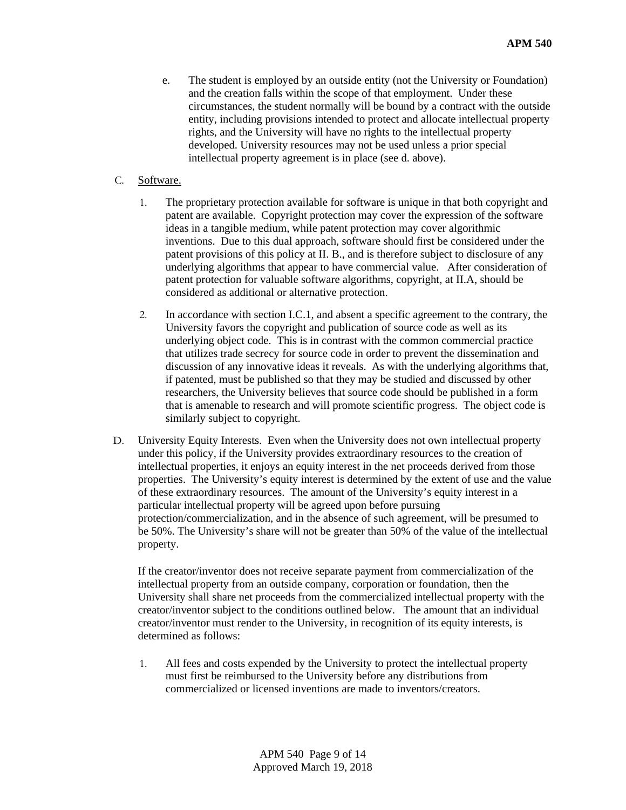- e. The student is employed by an outside entity (not the University or Foundation) and the creation falls within the scope of that employment. Under these circumstances, the student normally will be bound by a contract with the outside entity, including provisions intended to protect and allocate intellectual property rights, and the University will have no rights to the intellectual property developed. University resources may not be used unless a prior special intellectual property agreement is in place (see d. above).
- C. Software.
	- 1. The proprietary protection available for software is unique in that both copyright and patent are available. Copyright protection may cover the expression of the software ideas in a tangible medium, while patent protection may cover algorithmic inventions. Due to this dual approach, software should first be considered under the patent provisions of this policy at II. B., and is therefore subject to disclosure of any underlying algorithms that appear to have commercial value. After consideration of patent protection for valuable software algorithms, copyright, at II.A, should be considered as additional or alternative protection.
	- 2. In accordance with section I.C.1, and absent a specific agreement to the contrary, the University favors the copyright and publication of source code as well as its underlying object code. This is in contrast with the common commercial practice that utilizes trade secrecy for source code in order to prevent the dissemination and discussion of any innovative ideas it reveals. As with the underlying algorithms that, if patented, must be published so that they may be studied and discussed by other researchers, the University believes that source code should be published in a form that is amenable to research and will promote scientific progress. The object code is similarly subject to copyright.
- D. University Equity Interests. Even when the University does not own intellectual property under this policy, if the University provides extraordinary resources to the creation of intellectual properties, it enjoys an equity interest in the net proceeds derived from those properties. The University's equity interest is determined by the extent of use and the value of these extraordinary resources. The amount of the University's equity interest in a particular intellectual property will be agreed upon before pursuing protection/commercialization, and in the absence of such agreement, will be presumed to be 50%. The University's share will not be greater than 50% of the value of the intellectual property.

If the creator/inventor does not receive separate payment from commercialization of the intellectual property from an outside company, corporation or foundation, then the University shall share net proceeds from the commercialized intellectual property with the creator/inventor subject to the conditions outlined below. The amount that an individual creator/inventor must render to the University, in recognition of its equity interests, is determined as follows:

1. All fees and costs expended by the University to protect the intellectual property must first be reimbursed to the University before any distributions from commercialized or licensed inventions are made to inventors/creators.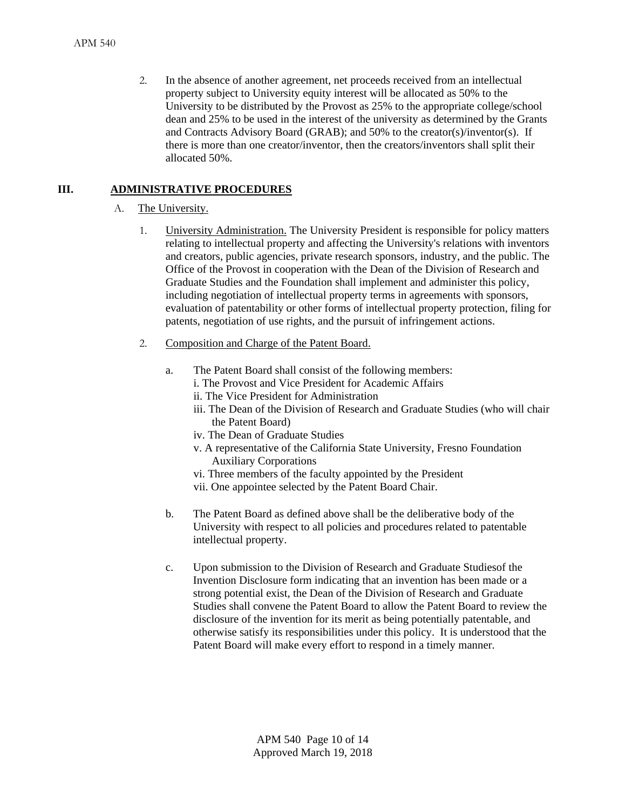2. In the absence of another agreement, net proceeds received from an intellectual property subject to University equity interest will be allocated as 50% to the University to be distributed by the Provost as 25% to the appropriate college/school dean and 25% to be used in the interest of the university as determined by the Grants and Contracts Advisory Board (GRAB); and 50% to the creator(s)/inventor(s). If there is more than one creator/inventor, then the creators/inventors shall split their allocated 50%.

# **III. ADMINISTRATIVE PROCEDURES**

#### A. The University.

- 1. University Administration. The University President is responsible for policy matters relating to intellectual property and affecting the University's relations with inventors and creators, public agencies, private research sponsors, industry, and the public. The Office of the Provost in cooperation with the Dean of the Division of Research and Graduate Studies and the Foundation shall implement and administer this policy, including negotiation of intellectual property terms in agreements with sponsors, evaluation of patentability or other forms of intellectual property protection, filing for patents, negotiation of use rights, and the pursuit of infringement actions.
- 2. Composition and Charge of the Patent Board.
	- a. The Patent Board shall consist of the following members:
		- i. The Provost and Vice President for Academic Affairs
		- ii. The Vice President for Administration
		- iii. The Dean of the Division of Research and Graduate Studies (who will chair the Patent Board)
		- iv. The Dean of Graduate Studies
		- v. A representative of the California State University, Fresno Foundation Auxiliary Corporations
		- vi. Three members of the faculty appointed by the President
		- vii. One appointee selected by the Patent Board Chair.
	- b. The Patent Board as defined above shall be the deliberative body of the University with respect to all policies and procedures related to patentable intellectual property.
	- c. Upon submission to the Division of Research and Graduate Studiesof the Invention Disclosure form indicating that an invention has been made or a strong potential exist, the Dean of the Division of Research and Graduate Studies shall convene the Patent Board to allow the Patent Board to review the disclosure of the invention for its merit as being potentially patentable, and otherwise satisfy its responsibilities under this policy. It is understood that the Patent Board will make every effort to respond in a timely manner.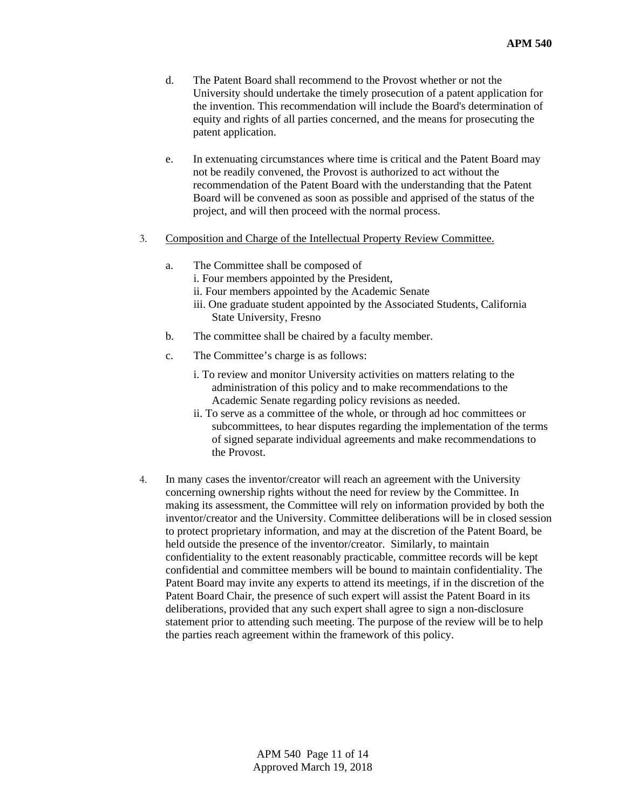- d. The Patent Board shall recommend to the Provost whether or not the University should undertake the timely prosecution of a patent application for the invention. This recommendation will include the Board's determination of equity and rights of all parties concerned, and the means for prosecuting the patent application.
- e. In extenuating circumstances where time is critical and the Patent Board may not be readily convened, the Provost is authorized to act without the recommendation of the Patent Board with the understanding that the Patent Board will be convened as soon as possible and apprised of the status of the project, and will then proceed with the normal process.
- 3. Composition and Charge of the Intellectual Property Review Committee.
	- a. The Committee shall be composed of
		- i. Four members appointed by the President,
		- ii. Four members appointed by the Academic Senate
		- iii. One graduate student appointed by the Associated Students, California State University, Fresno
	- b. The committee shall be chaired by a faculty member.
	- c. The Committee's charge is as follows:
		- i. To review and monitor University activities on matters relating to the administration of this policy and to make recommendations to the Academic Senate regarding policy revisions as needed.
		- ii. To serve as a committee of the whole, or through ad hoc committees or subcommittees, to hear disputes regarding the implementation of the terms of signed separate individual agreements and make recommendations to the Provost.
- 4. In many cases the inventor/creator will reach an agreement with the University concerning ownership rights without the need for review by the Committee. In making its assessment, the Committee will rely on information provided by both the inventor/creator and the University. Committee deliberations will be in closed session to protect proprietary information, and may at the discretion of the Patent Board, be held outside the presence of the inventor/creator. Similarly, to maintain confidentiality to the extent reasonably practicable, committee records will be kept confidential and committee members will be bound to maintain confidentiality. The Patent Board may invite any experts to attend its meetings, if in the discretion of the Patent Board Chair, the presence of such expert will assist the Patent Board in its deliberations, provided that any such expert shall agree to sign a non-disclosure statement prior to attending such meeting. The purpose of the review will be to help the parties reach agreement within the framework of this policy.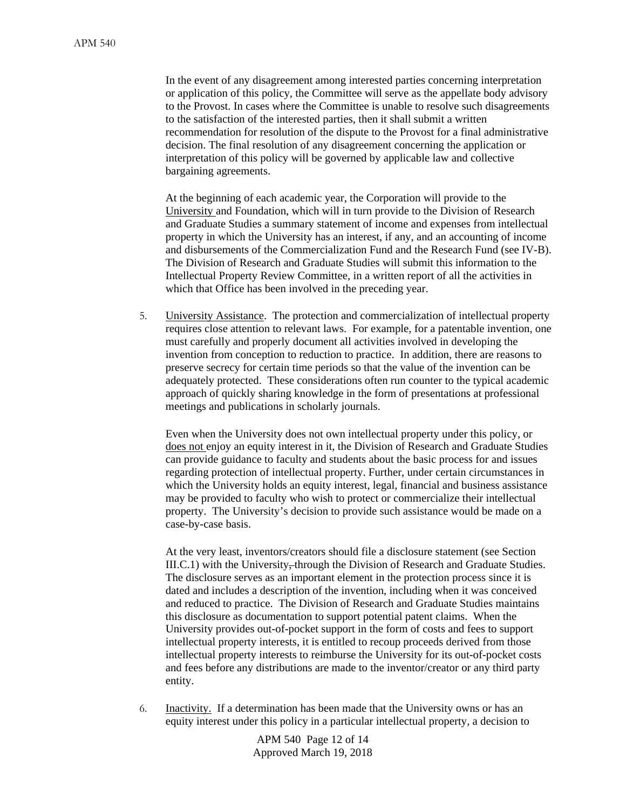In the event of any disagreement among interested parties concerning interpretation or application of this policy, the Committee will serve as the appellate body advisory to the Provost. In cases where the Committee is unable to resolve such disagreements to the satisfaction of the interested parties, then it shall submit a written recommendation for resolution of the dispute to the Provost for a final administrative decision. The final resolution of any disagreement concerning the application or interpretation of this policy will be governed by applicable law and collective bargaining agreements.

At the beginning of each academic year, the Corporation will provide to the University and Foundation, which will in turn provide to the Division of Research and Graduate Studies a summary statement of income and expenses from intellectual property in which the University has an interest, if any, and an accounting of income and disbursements of the Commercialization Fund and the Research Fund (see IV-B). The Division of Research and Graduate Studies will submit this information to the Intellectual Property Review Committee, in a written report of all the activities in which that Office has been involved in the preceding year.

5. University Assistance. The protection and commercialization of intellectual property requires close attention to relevant laws. For example, for a patentable invention, one must carefully and properly document all activities involved in developing the invention from conception to reduction to practice. In addition, there are reasons to preserve secrecy for certain time periods so that the value of the invention can be adequately protected. These considerations often run counter to the typical academic approach of quickly sharing knowledge in the form of presentations at professional meetings and publications in scholarly journals.

Even when the University does not own intellectual property under this policy, or does not enjoy an equity interest in it, the Division of Research and Graduate Studies can provide guidance to faculty and students about the basic process for and issues regarding protection of intellectual property. Further, under certain circumstances in which the University holds an equity interest, legal, financial and business assistance may be provided to faculty who wish to protect or commercialize their intellectual property. The University's decision to provide such assistance would be made on a case-by-case basis.

At the very least, inventors/creators should file a disclosure statement (see Section III.C.1) with the University, through the Division of Research and Graduate Studies. The disclosure serves as an important element in the protection process since it is dated and includes a description of the invention, including when it was conceived and reduced to practice. The Division of Research and Graduate Studies maintains this disclosure as documentation to support potential patent claims. When the University provides out-of-pocket support in the form of costs and fees to support intellectual property interests, it is entitled to recoup proceeds derived from those intellectual property interests to reimburse the University for its out-of-pocket costs and fees before any distributions are made to the inventor/creator or any third party entity.

6. Inactivity. If a determination has been made that the University owns or has an equity interest under this policy in a particular intellectual property, a decision to

> APM 540 Page 12 of 14 Approved March 19, 2018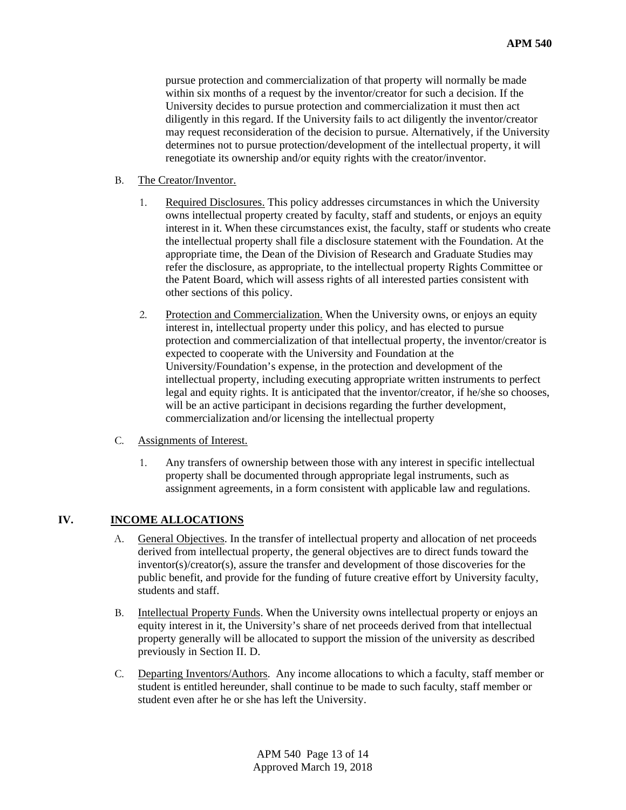pursue protection and commercialization of that property will normally be made within six months of a request by the inventor/creator for such a decision. If the University decides to pursue protection and commercialization it must then act diligently in this regard. If the University fails to act diligently the inventor/creator may request reconsideration of the decision to pursue. Alternatively, if the University determines not to pursue protection/development of the intellectual property, it will renegotiate its ownership and/or equity rights with the creator/inventor.

#### B. The Creator/Inventor.

- 1. Required Disclosures. This policy addresses circumstances in which the University owns intellectual property created by faculty, staff and students, or enjoys an equity interest in it. When these circumstances exist, the faculty, staff or students who create the intellectual property shall file a disclosure statement with the Foundation. At the appropriate time, the Dean of the Division of Research and Graduate Studies may refer the disclosure, as appropriate, to the intellectual property Rights Committee or the Patent Board, which will assess rights of all interested parties consistent with other sections of this policy.
- 2. Protection and Commercialization. When the University owns, or enjoys an equity interest in, intellectual property under this policy, and has elected to pursue protection and commercialization of that intellectual property, the inventor/creator is expected to cooperate with the University and Foundation at the University/Foundation's expense, in the protection and development of the intellectual property, including executing appropriate written instruments to perfect legal and equity rights. It is anticipated that the inventor/creator, if he/she so chooses, will be an active participant in decisions regarding the further development, commercialization and/or licensing the intellectual property

#### C. Assignments of Interest.

1. Any transfers of ownership between those with any interest in specific intellectual property shall be documented through appropriate legal instruments, such as assignment agreements, in a form consistent with applicable law and regulations.

#### **IV. INCOME ALLOCATIONS**

- A. General Objectives. In the transfer of intellectual property and allocation of net proceeds derived from intellectual property, the general objectives are to direct funds toward the inventor(s)/creator(s), assure the transfer and development of those discoveries for the public benefit, and provide for the funding of future creative effort by University faculty, students and staff.
- B. Intellectual Property Funds. When the University owns intellectual property or enjoys an equity interest in it, the University's share of net proceeds derived from that intellectual property generally will be allocated to support the mission of the university as described previously in Section II. D.
- C. Departing Inventors/Authors. Any income allocations to which a faculty, staff member or student is entitled hereunder, shall continue to be made to such faculty, staff member or student even after he or she has left the University.

APM 540 Page 13 of 14 Approved March 19, 2018